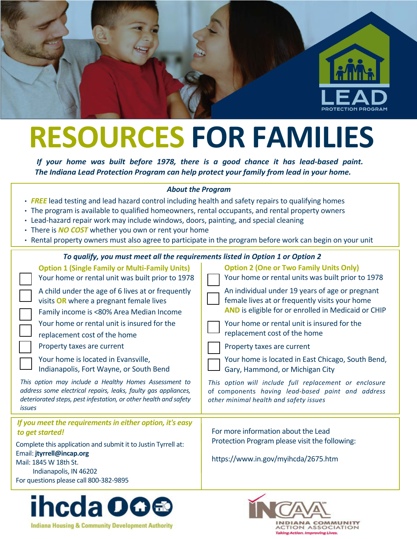

# **RESOURCES FOR FAMILIES**

*If your home was built before 1978, there is a good chance it has lead-based paint. The Indiana Lead Protection Program can help protect your family from lead in your home.* 

### *About the Program*

- **FREE** lead testing and lead hazard control including health and safety repairs to qualifying homes
- The program is available to qualified homeowners, rental occupants, and rental property owners
- Lead-hazard repair work may include windows, doors, painting, and special cleaning
- There is *NO COST* whether you own or rent your home
- Rental property owners must also agree to participate in the program before work can begin on your unit

### *To qualify, you must meet all the requirements listed in Option 1 or Option 2*

| <b>Option 1 (Single Family or Multi-Family Units)</b><br>Your home or rental unit was built prior to 1978                                                                                                    | <b>Option 2 (One or Two Family Units Only)</b><br>Your home or rental units was built prior to 1978                                                             |  |  |  |
|--------------------------------------------------------------------------------------------------------------------------------------------------------------------------------------------------------------|-----------------------------------------------------------------------------------------------------------------------------------------------------------------|--|--|--|
| A child under the age of 6 lives at or frequently<br>visits OR where a pregnant female lives<br>Family income is <80% Area Median Income                                                                     | An individual under 19 years of age or pregnant<br>female lives at or frequently visits your home<br><b>AND</b> is eligible for or enrolled in Medicaid or CHIP |  |  |  |
| Your home or rental unit is insured for the<br>replacement cost of the home                                                                                                                                  | Your home or rental unit is insured for the<br>replacement cost of the home                                                                                     |  |  |  |
| Property taxes are current                                                                                                                                                                                   | Property taxes are current                                                                                                                                      |  |  |  |
| Your home is located in Evansville,<br>Indianapolis, Fort Wayne, or South Bend                                                                                                                               | Your home is located in East Chicago, South Bend,<br>Gary, Hammond, or Michigan City                                                                            |  |  |  |
| This option may include a Healthy Homes Assessment to<br>address some electrical repairs, leaks, faulty gas appliances,<br>deteriorated steps, pest infestation, or other health and safety<br><i>issues</i> | This option will include full replacement or enclosure<br>of components having lead-based paint and address<br>other minimal health and safety issues           |  |  |  |
| If you meet the requirements in either option, it's easy                                                                                                                                                     |                                                                                                                                                                 |  |  |  |
| to get started!                                                                                                                                                                                              | For more information about the Lead                                                                                                                             |  |  |  |
| Complete this application and submit it to Justin Tyrrell at:                                                                                                                                                | Protection Program please visit the following:                                                                                                                  |  |  |  |
| Email: jtyrrell@incap.org                                                                                                                                                                                    | https://www.in.gov/myihcda/2675.htm                                                                                                                             |  |  |  |
| Mail: 1845 W 18th St.<br>Indianapolis, IN 46202                                                                                                                                                              |                                                                                                                                                                 |  |  |  |
| For questions please call 800-382-9895                                                                                                                                                                       |                                                                                                                                                                 |  |  |  |
|                                                                                                                                                                                                              |                                                                                                                                                                 |  |  |  |



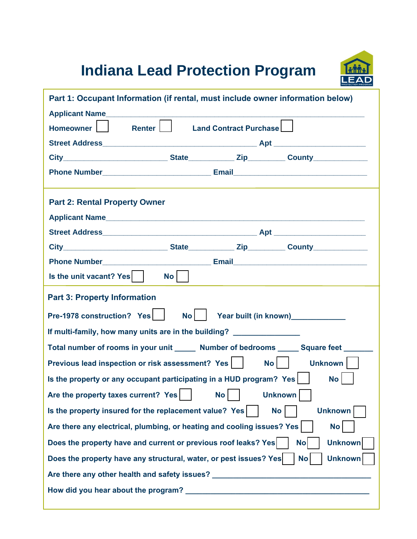## **Indiana Lead Protection Program**



| Part 1: Occupant Information (if rental, must include owner information below)                   |                 |                               |  |  |  |
|--------------------------------------------------------------------------------------------------|-----------------|-------------------------------|--|--|--|
| Applicant Name                                                                                   |                 |                               |  |  |  |
| Renter  <br>Homeowner                                                                            |                 | <b>Land Contract Purchase</b> |  |  |  |
|                                                                                                  |                 |                               |  |  |  |
|                                                                                                  |                 |                               |  |  |  |
|                                                                                                  |                 |                               |  |  |  |
|                                                                                                  |                 |                               |  |  |  |
| <b>Part 2: Rental Property Owner</b>                                                             |                 |                               |  |  |  |
| Applicant Name                                                                                   |                 |                               |  |  |  |
|                                                                                                  |                 |                               |  |  |  |
|                                                                                                  |                 |                               |  |  |  |
|                                                                                                  |                 |                               |  |  |  |
| Is the unit vacant? Yes                                                                          | No <sub>1</sub> |                               |  |  |  |
| <b>Part 3: Property Information</b>                                                              |                 |                               |  |  |  |
| Pre-1978 construction? Yes<br>Year built (in known)____________<br>$\mathsf{No}$                 |                 |                               |  |  |  |
| If multi-family, how many units are in the building? ___________________________                 |                 |                               |  |  |  |
| Total number of rooms in your unit ______ Number of bedrooms _____ Square feet ______            |                 |                               |  |  |  |
| Previous lead inspection or risk assessment? Yes     No    <br>Unknown                           |                 |                               |  |  |  |
| Is the property or any occupant participating in a HUD program? Yes  <br>No <sub>1</sub>         |                 |                               |  |  |  |
| Are the property taxes current? Yes<br><b>Unknown</b><br>No                                      |                 |                               |  |  |  |
| Is the property insured for the replacement value? Yes<br><b>Unknown</b><br>No                   |                 |                               |  |  |  |
| Are there any electrical, plumbing, or heating and cooling issues? Yes<br><b>No</b>              |                 |                               |  |  |  |
| Does the property have and current or previous roof leaks? Yes<br><b>No</b><br><b>Unknown</b>    |                 |                               |  |  |  |
| Does the property have any structural, water, or pest issues? Yes<br><b>Unknown</b><br><b>No</b> |                 |                               |  |  |  |
| Are there any other health and safety issues? __________________________________                 |                 |                               |  |  |  |
|                                                                                                  |                 |                               |  |  |  |